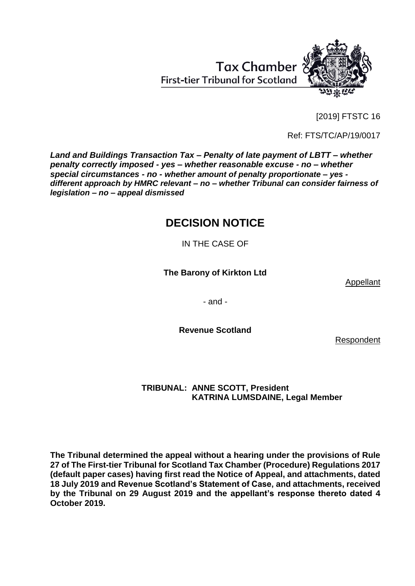[2019] FTSTC 16

Ref: FTS/TC/AP/19/0017

*Land and Buildings Transaction Tax – Penalty of late payment of LBTT – whether penalty correctly imposed - yes – whether reasonable excuse - no – whether special circumstances - no - whether amount of penalty proportionate – yes different approach by HMRC relevant – no – whether Tribunal can consider fairness of legislation – no – appeal dismissed*

# **DECISION NOTICE**

IN THE CASE OF

**The Barony of Kirkton Ltd**

Appellant

- and -

**Revenue Scotland**

Respondent

# **TRIBUNAL: ANNE SCOTT, President KATRINA LUMSDAINE, Legal Member**

**The Tribunal determined the appeal without a hearing under the provisions of Rule 27 of The First-tier Tribunal for Scotland Tax Chamber (Procedure) Regulations 2017 (default paper cases) having first read the Notice of Appeal, and attachments, dated 18 July 2019 and Revenue Scotland's Statement of Case, and attachments, received by the Tribunal on 29 August 2019 and the appellant's response thereto dated 4 October 2019.**



**Tax Chamber First-tier Tribunal for Scotland**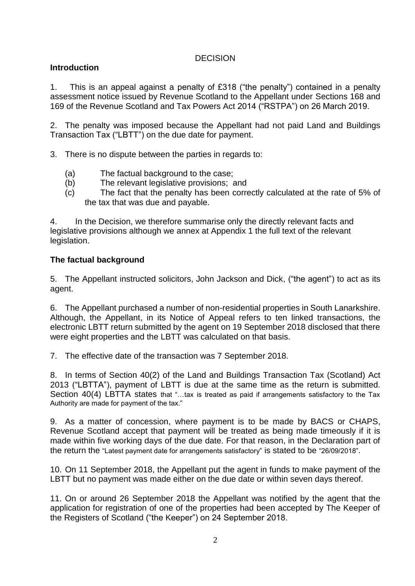## **DECISION**

# **Introduction**

1. This is an appeal against a penalty of £318 ("the penalty") contained in a penalty assessment notice issued by Revenue Scotland to the Appellant under Sections 168 and 169 of the Revenue Scotland and Tax Powers Act 2014 ("RSTPA") on 26 March 2019.

2. The penalty was imposed because the Appellant had not paid Land and Buildings Transaction Tax ("LBTT") on the due date for payment.

- 3. There is no dispute between the parties in regards to:
	- (a) The factual background to the case;
	- (b) The relevant legislative provisions; and
	- (c) The fact that the penalty has been correctly calculated at the rate of 5% of the tax that was due and payable.

4. In the Decision, we therefore summarise only the directly relevant facts and legislative provisions although we annex at Appendix 1 the full text of the relevant legislation.

## **The factual background**

5. The Appellant instructed solicitors, John Jackson and Dick, ("the agent") to act as its agent.

6. The Appellant purchased a number of non-residential properties in South Lanarkshire. Although, the Appellant, in its Notice of Appeal refers to ten linked transactions, the electronic LBTT return submitted by the agent on 19 September 2018 disclosed that there were eight properties and the LBTT was calculated on that basis.

7. The effective date of the transaction was 7 September 2018.

8. In terms of Section 40(2) of the Land and Buildings Transaction Tax (Scotland) Act 2013 ("LBTTA"), payment of LBTT is due at the same time as the return is submitted. Section 40(4) LBTTA states that "...tax is treated as paid if arrangements satisfactory to the Tax Authority are made for payment of the tax."

9. As a matter of concession, where payment is to be made by BACS or CHAPS, Revenue Scotland accept that payment will be treated as being made timeously if it is made within five working days of the due date. For that reason, in the Declaration part of the return the "Latest payment date for arrangements satisfactory" is stated to be "26/09/2018".

10. On 11 September 2018, the Appellant put the agent in funds to make payment of the LBTT but no payment was made either on the due date or within seven days thereof.

11. On or around 26 September 2018 the Appellant was notified by the agent that the application for registration of one of the properties had been accepted by The Keeper of the Registers of Scotland ("the Keeper") on 24 September 2018.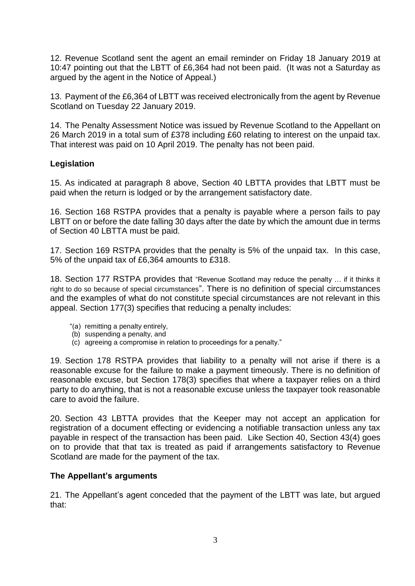12. Revenue Scotland sent the agent an email reminder on Friday 18 January 2019 at 10:47 pointing out that the LBTT of £6,364 had not been paid. (It was not a Saturday as argued by the agent in the Notice of Appeal.)

13. Payment of the £6,364 of LBTT was received electronically from the agent by Revenue Scotland on Tuesday 22 January 2019.

14. The Penalty Assessment Notice was issued by Revenue Scotland to the Appellant on 26 March 2019 in a total sum of £378 including £60 relating to interest on the unpaid tax. That interest was paid on 10 April 2019. The penalty has not been paid.

## **Legislation**

15. As indicated at paragraph 8 above, Section 40 LBTTA provides that LBTT must be paid when the return is lodged or by the arrangement satisfactory date.

16. Section 168 RSTPA provides that a penalty is payable where a person fails to pay LBTT on or before the date falling 30 days after the date by which the amount due in terms of Section 40 LBTTA must be paid.

17. Section 169 RSTPA provides that the penalty is 5% of the unpaid tax. In this case, 5% of the unpaid tax of £6,364 amounts to £318.

18. Section 177 RSTPA provides that "Revenue Scotland may reduce the penalty … if it thinks it right to do so because of special circumstances". There is no definition of special circumstances and the examples of what do not constitute special circumstances are not relevant in this appeal. Section 177(3) specifies that reducing a penalty includes:

- "(a) remitting a penalty entirely,
- (b) suspending a penalty, and
- (c) agreeing a compromise in relation to proceedings for a penalty."

19. Section 178 RSTPA provides that liability to a penalty will not arise if there is a reasonable excuse for the failure to make a payment timeously. There is no definition of reasonable excuse, but Section 178(3) specifies that where a taxpayer relies on a third party to do anything, that is not a reasonable excuse unless the taxpayer took reasonable care to avoid the failure.

20. Section 43 LBTTA provides that the Keeper may not accept an application for registration of a document effecting or evidencing a notifiable transaction unless any tax payable in respect of the transaction has been paid. Like Section 40, Section 43(4) goes on to provide that that tax is treated as paid if arrangements satisfactory to Revenue Scotland are made for the payment of the tax.

### **The Appellant's arguments**

21. The Appellant's agent conceded that the payment of the LBTT was late, but argued that: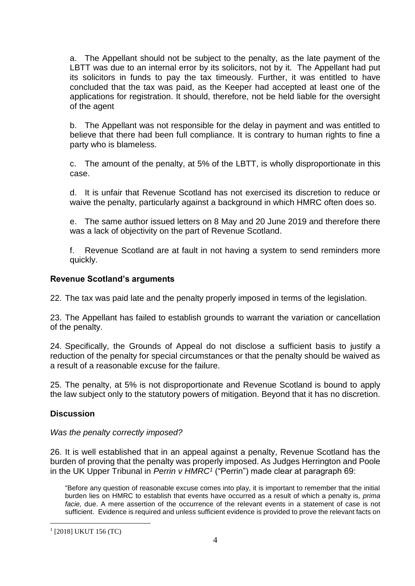a. The Appellant should not be subject to the penalty, as the late payment of the LBTT was due to an internal error by its solicitors, not by it. The Appellant had put its solicitors in funds to pay the tax timeously. Further, it was entitled to have concluded that the tax was paid, as the Keeper had accepted at least one of the applications for registration. It should, therefore, not be held liable for the oversight of the agent

b. The Appellant was not responsible for the delay in payment and was entitled to believe that there had been full compliance. It is contrary to human rights to fine a party who is blameless.

c. The amount of the penalty, at 5% of the LBTT, is wholly disproportionate in this case.

d. It is unfair that Revenue Scotland has not exercised its discretion to reduce or waive the penalty, particularly against a background in which HMRC often does so.

e. The same author issued letters on 8 May and 20 June 2019 and therefore there was a lack of objectivity on the part of Revenue Scotland.

f. Revenue Scotland are at fault in not having a system to send reminders more quickly.

### **Revenue Scotland's arguments**

22. The tax was paid late and the penalty properly imposed in terms of the legislation.

23. The Appellant has failed to establish grounds to warrant the variation or cancellation of the penalty.

24. Specifically, the Grounds of Appeal do not disclose a sufficient basis to justify a reduction of the penalty for special circumstances or that the penalty should be waived as a result of a reasonable excuse for the failure.

25. The penalty, at 5% is not disproportionate and Revenue Scotland is bound to apply the law subject only to the statutory powers of mitigation. Beyond that it has no discretion.

# **Discussion**

### *Was the penalty correctly imposed?*

26. It is well established that in an appeal against a penalty, Revenue Scotland has the burden of proving that the penalty was properly imposed. As Judges Herrington and Poole in the UK Upper Tribunal in *Perrin v HMRC<sup>1</sup>* ("Perrin") made clear at paragraph 69:

"Before any question of reasonable excuse comes into play, it is important to remember that the initial burden lies on HMRC to establish that events have occurred as a result of which a penalty is, *prima facie,* due. A mere assertion of the occurrence of the relevant events in a statement of case is not sufficient. Evidence is required and unless sufficient evidence is provided to prove the relevant facts on

<sup>1</sup> [2018] UKUT 156 (TC)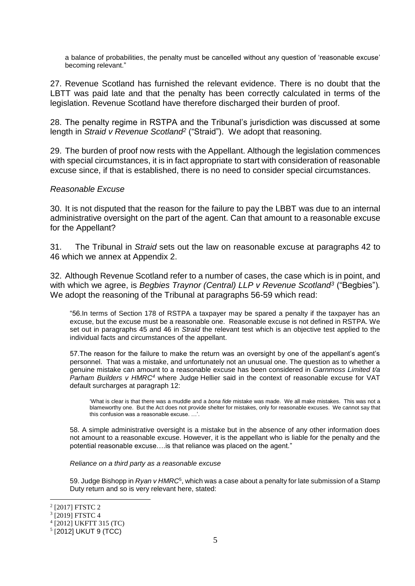a balance of probabilities, the penalty must be cancelled without any question of 'reasonable excuse' becoming relevant."

27. Revenue Scotland has furnished the relevant evidence. There is no doubt that the LBTT was paid late and that the penalty has been correctly calculated in terms of the legislation. Revenue Scotland have therefore discharged their burden of proof.

28. The penalty regime in RSTPA and the Tribunal's jurisdiction was discussed at some length in *Straid v Revenue Scotland<sup>2</sup>* ("Straid"). We adopt that reasoning.

29. The burden of proof now rests with the Appellant. Although the legislation commences with special circumstances, it is in fact appropriate to start with consideration of reasonable excuse since, if that is established, there is no need to consider special circumstances.

#### *Reasonable Excuse*

30. It is not disputed that the reason for the failure to pay the LBBT was due to an internal administrative oversight on the part of the agent. Can that amount to a reasonable excuse for the Appellant?

31. The Tribunal in *Straid* sets out the law on reasonable excuse at paragraphs 42 to 46 which we annex at Appendix 2.

32. Although Revenue Scotland refer to a number of cases, the case which is in point, and with which we agree, is *Begbies Traynor (Central) LLP v Revenue Scotland<sup>3</sup>* ("Begbies")*.*  We adopt the reasoning of the Tribunal at paragraphs 56-59 which read:

"56.In terms of Section 178 of RSTPA a taxpayer may be spared a penalty if the taxpayer has an excuse, but the excuse must be a reasonable one. Reasonable excuse is not defined in RSTPA. We set out in paragraphs 45 and 46 in *Straid* the relevant test which is an objective test applied to the individual facts and circumstances of the appellant.

57.The reason for the failure to make the return was an oversight by one of the appellant's agent's personnel. That was a mistake, and unfortunately not an unusual one. The question as to whether a genuine mistake can amount to a reasonable excuse has been considered in *Garnmoss Limited t/a Parham Builders v HMRC<sup>4</sup>* where Judge Hellier said in the context of reasonable excuse for VAT default surcharges at paragraph 12:

'What is clear is that there was a muddle and a *bona fide* mistake was made. We all make mistakes. This was not a blameworthy one. But the Act does not provide shelter for mistakes, only for reasonable excuses. We cannot say that this confusion was a reasonable excuse. …'.

58. A simple administrative oversight is a mistake but in the absence of any other information does not amount to a reasonable excuse. However, it is the appellant who is liable for the penalty and the potential reasonable excuse….is that reliance was placed on the agent."

*Reliance on a third party as a reasonable excuse*

59. Judge Bishopp in *Ryan v HMRC*<sup>5</sup> , which was a case about a penalty for late submission of a Stamp Duty return and so is very relevant here, stated:

<sup>2</sup> [2017] FTSTC 2

<sup>3</sup> [2019] FTSTC 4

<sup>4</sup> [2012] UKFTT 315 (TC)

<sup>5</sup> [2012] UKUT 9 (TCC)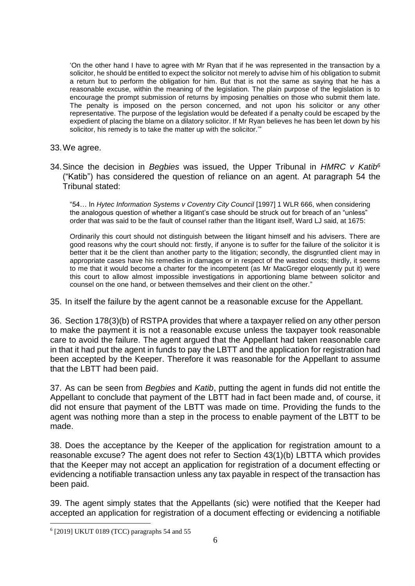'On the other hand I have to agree with Mr Ryan that if he was represented in the transaction by a solicitor, he should be entitled to expect the solicitor not merely to advise him of his obligation to submit a return but to perform the obligation for him. But that is not the same as saying that he has a reasonable excuse, within the meaning of the legislation. The plain purpose of the legislation is to encourage the prompt submission of returns by imposing penalties on those who submit them late. The penalty is imposed on the person concerned, and not upon his solicitor or any other representative. The purpose of the legislation would be defeated if a penalty could be escaped by the expedient of placing the blame on a dilatory solicitor. If Mr Ryan believes he has been let down by his solicitor, his remedy is to take the matter up with the solicitor.'"

- 33.We agree.
- 34.Since the decision in *Begbies* was issued, the Upper Tribunal in *HMRC v Katib<sup>6</sup>* ("Katib") has considered the question of reliance on an agent. At paragraph 54 the Tribunal stated:

"54… In *Hytec Information Systems v Coventry City Council* [1997] 1 WLR 666, when considering the analogous question of whether a litigant's case should be struck out for breach of an "unless" order that was said to be the fault of counsel rather than the litigant itself, Ward LJ said, at 1675:

Ordinarily this court should not distinguish between the litigant himself and his advisers. There are good reasons why the court should not: firstly, if anyone is to suffer for the failure of the solicitor it is better that it be the client than another party to the litigation; secondly, the disgruntled client may in appropriate cases have his remedies in damages or in respect of the wasted costs; thirdly, it seems to me that it would become a charter for the incompetent (as Mr MacGregor eloquently put it) were this court to allow almost impossible investigations in apportioning blame between solicitor and counsel on the one hand, or between themselves and their client on the other."

35. In itself the failure by the agent cannot be a reasonable excuse for the Appellant.

36. Section 178(3)(b) of RSTPA provides that where a taxpayer relied on any other person to make the payment it is not a reasonable excuse unless the taxpayer took reasonable care to avoid the failure. The agent argued that the Appellant had taken reasonable care in that it had put the agent in funds to pay the LBTT and the application for registration had been accepted by the Keeper. Therefore it was reasonable for the Appellant to assume that the LBTT had been paid.

37. As can be seen from *Begbies* and *Katib*, putting the agent in funds did not entitle the Appellant to conclude that payment of the LBTT had in fact been made and, of course, it did not ensure that payment of the LBTT was made on time. Providing the funds to the agent was nothing more than a step in the process to enable payment of the LBTT to be made.

38. Does the acceptance by the Keeper of the application for registration amount to a reasonable excuse? The agent does not refer to Section 43(1)(b) LBTTA which provides that the Keeper may not accept an application for registration of a document effecting or evidencing a notifiable transaction unless any tax payable in respect of the transaction has been paid.

39. The agent simply states that the Appellants (sic) were notified that the Keeper had accepted an application for registration of a document effecting or evidencing a notifiable

<sup>6</sup> [2019] UKUT 0189 (TCC) paragraphs 54 and 55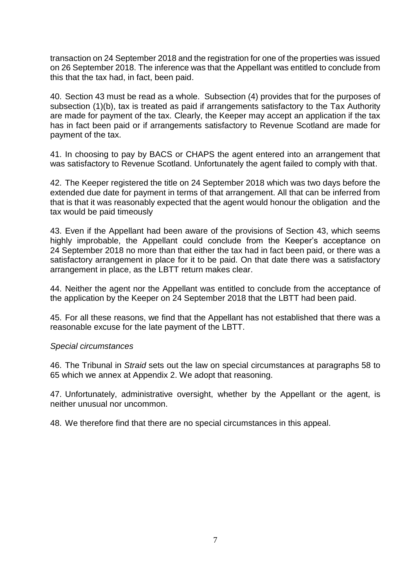transaction on 24 September 2018 and the registration for one of the properties was issued on 26 September 2018. The inference was that the Appellant was entitled to conclude from this that the tax had, in fact, been paid.

40. Section 43 must be read as a whole. Subsection (4) provides that for the purposes of subsection (1)(b), tax is treated as paid if arrangements satisfactory to the Tax Authority are made for payment of the tax. Clearly, the Keeper may accept an application if the tax has in fact been paid or if arrangements satisfactory to Revenue Scotland are made for payment of the tax.

41. In choosing to pay by BACS or CHAPS the agent entered into an arrangement that was satisfactory to Revenue Scotland. Unfortunately the agent failed to comply with that.

42. The Keeper registered the title on 24 September 2018 which was two days before the extended due date for payment in terms of that arrangement. All that can be inferred from that is that it was reasonably expected that the agent would honour the obligation and the tax would be paid timeously

43. Even if the Appellant had been aware of the provisions of Section 43, which seems highly improbable, the Appellant could conclude from the Keeper's acceptance on 24 September 2018 no more than that either the tax had in fact been paid, or there was a satisfactory arrangement in place for it to be paid. On that date there was a satisfactory arrangement in place, as the LBTT return makes clear.

44. Neither the agent nor the Appellant was entitled to conclude from the acceptance of the application by the Keeper on 24 September 2018 that the LBTT had been paid.

45. For all these reasons, we find that the Appellant has not established that there was a reasonable excuse for the late payment of the LBTT.

#### *Special circumstances*

46. The Tribunal in *Straid* sets out the law on special circumstances at paragraphs 58 to 65 which we annex at Appendix 2. We adopt that reasoning.

47. Unfortunately, administrative oversight, whether by the Appellant or the agent, is neither unusual nor uncommon.

48. We therefore find that there are no special circumstances in this appeal.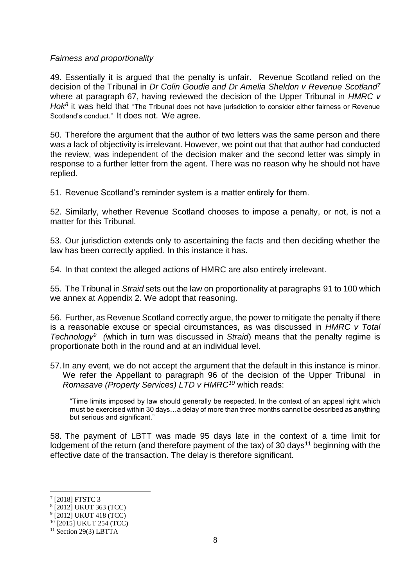#### *Fairness and proportionality*

49. Essentially it is argued that the penalty is unfair. Revenue Scotland relied on the decision of the Tribunal in *Dr Colin Goudie and Dr Amelia Sheldon v Revenue Scotland<sup>7</sup>* where at paragraph 67, having reviewed the decision of the Upper Tribunal in *HMRC v Hok<sup>8</sup>* it was held that "The Tribunal does not have jurisdiction to consider either fairness or Revenue Scotland's conduct." It does not. We agree.

50. Therefore the argument that the author of two letters was the same person and there was a lack of objectivity is irrelevant. However, we point out that that author had conducted the review, was independent of the decision maker and the second letter was simply in response to a further letter from the agent. There was no reason why he should not have replied.

51. Revenue Scotland's reminder system is a matter entirely for them.

52. Similarly, whether Revenue Scotland chooses to impose a penalty, or not, is not a matter for this Tribunal.

53. Our jurisdiction extends only to ascertaining the facts and then deciding whether the law has been correctly applied. In this instance it has.

54. In that context the alleged actions of HMRC are also entirely irrelevant.

55. The Tribunal in *Straid* sets out the law on proportionality at paragraphs 91 to 100 which we annex at Appendix 2. We adopt that reasoning.

56. Further, as Revenue Scotland correctly argue, the power to mitigate the penalty if there is a reasonable excuse or special circumstances, as was discussed in *HMRC v Total Technology<sup>9</sup> (*which in turn was discussed in *Straid*) means that the penalty regime is proportionate both in the round and at an individual level.

57.In any event, we do not accept the argument that the default in this instance is minor. We refer the Appellant to paragraph 96 of the decision of the Upper Tribunal in *Romasave (Property Services) LTD v HMRC<sup>10</sup>* which reads:

"Time limits imposed by law should generally be respected. In the context of an appeal right which must be exercised within 30 days…a delay of more than three months cannot be described as anything but serious and significant."

58. The payment of LBTT was made 95 days late in the context of a time limit for lodgement of the return (and therefore payment of the tax) of 30 days<sup>11</sup> beginning with the effective date of the transaction. The delay is therefore significant.

<sup>7</sup> [2018] FTSTC 3

<sup>8</sup> [2012] UKUT 363 (TCC)

<sup>9</sup> [2012] UKUT 418 (TCC)

<sup>10</sup> [2015] UKUT 254 (TCC)

 $11$  Section 29(3) LBTTA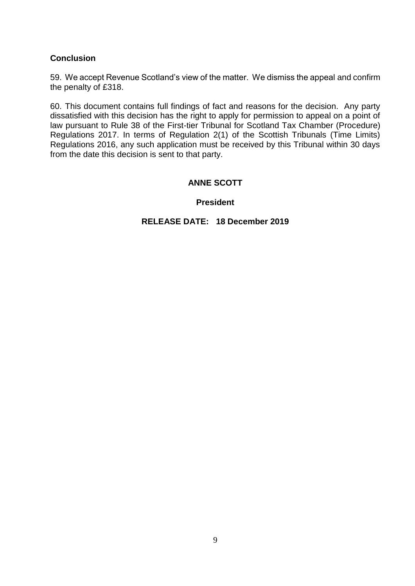## **Conclusion**

59. We accept Revenue Scotland's view of the matter. We dismiss the appeal and confirm the penalty of £318.

60. This document contains full findings of fact and reasons for the decision. Any party dissatisfied with this decision has the right to apply for permission to appeal on a point of law pursuant to Rule 38 of the First-tier Tribunal for Scotland Tax Chamber (Procedure) Regulations 2017. In terms of Regulation 2(1) of the Scottish Tribunals (Time Limits) Regulations 2016, any such application must be received by this Tribunal within 30 days from the date this decision is sent to that party.

## **ANNE SCOTT**

### **President**

### **RELEASE DATE: 18 December 2019**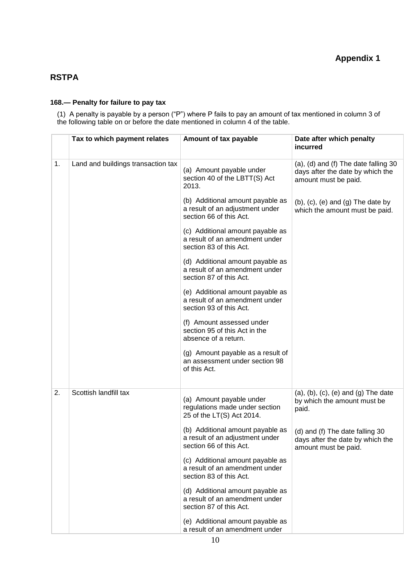### **RSTPA**

#### **168.— Penalty for failure to pay tax**

(1) A penalty is payable by a person ("P") where P fails to pay an amount of tax mentioned in column 3 of the following table on or before the date mentioned in column 4 of the table.

|    | Tax to which payment relates       | Amount of tax payable                                                                          | Date after which penalty<br>incurred                                                             |
|----|------------------------------------|------------------------------------------------------------------------------------------------|--------------------------------------------------------------------------------------------------|
| 1. | Land and buildings transaction tax | (a) Amount payable under<br>section 40 of the LBTT(S) Act<br>2013.                             | (a), (d) and (f) The date falling 30<br>days after the date by which the<br>amount must be paid. |
|    |                                    | (b) Additional amount payable as<br>a result of an adjustment under<br>section 66 of this Act. | $(b)$ , $(c)$ , $(e)$ and $(g)$ The date by<br>which the amount must be paid.                    |
|    |                                    | (c) Additional amount payable as<br>a result of an amendment under<br>section 83 of this Act.  |                                                                                                  |
|    |                                    | (d) Additional amount payable as<br>a result of an amendment under<br>section 87 of this Act.  |                                                                                                  |
|    |                                    | (e) Additional amount payable as<br>a result of an amendment under<br>section 93 of this Act.  |                                                                                                  |
|    |                                    | (f) Amount assessed under<br>section 95 of this Act in the<br>absence of a return.             |                                                                                                  |
|    |                                    | (g) Amount payable as a result of<br>an assessment under section 98<br>of this Act.            |                                                                                                  |
| 2. | Scottish landfill tax              | (a) Amount payable under<br>regulations made under section<br>25 of the LT(S) Act 2014.        | $(a)$ , $(b)$ , $(c)$ , $(e)$ and $(g)$ The date<br>by which the amount must be<br>paid.         |
|    |                                    | (b) Additional amount payable as<br>a result of an adjustment under<br>section 66 of this Act. | (d) and (f) The date falling 30<br>days after the date by which the<br>amount must be paid.      |
|    |                                    | (c) Additional amount payable as<br>a result of an amendment under<br>section 83 of this Act.  |                                                                                                  |
|    |                                    | (d) Additional amount payable as<br>a result of an amendment under<br>section 87 of this Act.  |                                                                                                  |
|    |                                    | (e) Additional amount payable as<br>a result of an amendment under                             |                                                                                                  |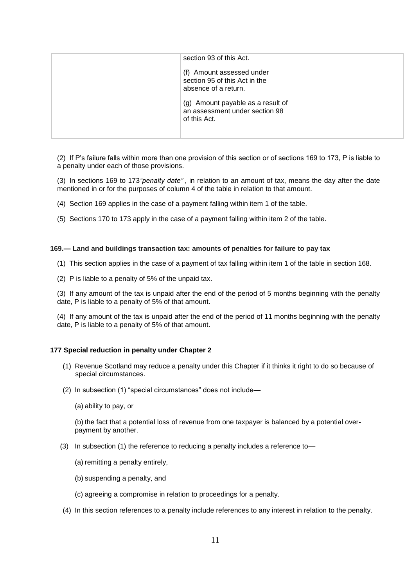| section 93 of this Act.                                                             |  |
|-------------------------------------------------------------------------------------|--|
| (f) Amount assessed under<br>section 95 of this Act in the<br>absence of a return.  |  |
| (g) Amount payable as a result of<br>an assessment under section 98<br>of this Act. |  |

(2) If P's failure falls within more than one provision of this section or of sections 169 to 173, P is liable to a penalty under each of those provisions.

(3) In sections 169 to 173*"penalty date"* , in relation to an amount of tax, means the day after the date mentioned in or for the purposes of column 4 of the table in relation to that amount.

- (4) Section 169 applies in the case of a payment falling within item 1 of the table.
- (5) Sections 170 to 173 apply in the case of a payment falling within item 2 of the table.

#### **169.— Land and buildings transaction tax: amounts of penalties for failure to pay tax**

- (1) This section applies in the case of a payment of tax falling within item 1 of the table in section 168.
- (2) P is liable to a penalty of 5% of the unpaid tax.

(3) If any amount of the tax is unpaid after the end of the period of 5 months beginning with the penalty date, P is liable to a penalty of 5% of that amount.

(4) If any amount of the tax is unpaid after the end of the period of 11 months beginning with the penalty date, P is liable to a penalty of 5% of that amount.

#### **177 Special reduction in penalty under Chapter 2**

- (1) Revenue Scotland may reduce a penalty under this Chapter if it thinks it right to do so because of special circumstances.
- (2) In subsection (1) "special circumstances" does not include—

(a) ability to pay, or

(b) the fact that a potential loss of revenue from one taxpayer is balanced by a potential overpayment by another.

- (3) In subsection (1) the reference to reducing a penalty includes a reference to—
	- (a) remitting a penalty entirely,
	- (b) suspending a penalty, and
	- (c) agreeing a compromise in relation to proceedings for a penalty.
- (4) In this section references to a penalty include references to any interest in relation to the penalty.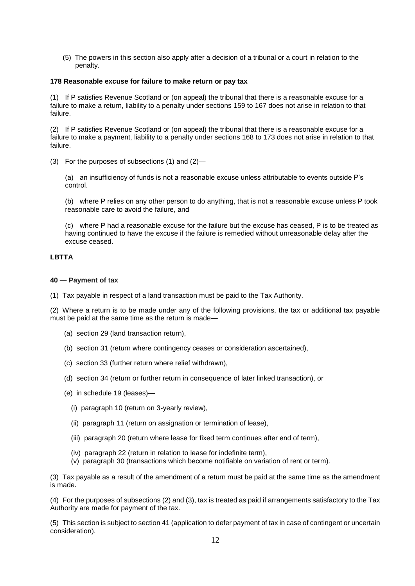(5) The powers in this section also apply after a decision of a tribunal or a court in relation to the penalty.

#### **178 Reasonable excuse for failure to make return or pay tax**

(1) If P satisfies Revenue Scotland or (on appeal) the tribunal that there is a reasonable excuse for a failure to make a return, liability to a penalty under sections 159 to 167 does not arise in relation to that failure.

(2) If P satisfies Revenue Scotland or (on appeal) the tribunal that there is a reasonable excuse for a failure to make a payment, liability to a penalty under sections 168 to 173 does not arise in relation to that failure.

(3) For the purposes of subsections (1) and (2)—

(a) an insufficiency of funds is not a reasonable excuse unless attributable to events outside P's control.

(b) where P relies on any other person to do anything, that is not a reasonable excuse unless P took reasonable care to avoid the failure, and

(c) where P had a reasonable excuse for the failure but the excuse has ceased, P is to be treated as having continued to have the excuse if the failure is remedied without unreasonable delay after the excuse ceased.

#### **LBTTA**

#### **40 — Payment of tax**

(1) Tax payable in respect of a land transaction must be paid to the Tax Authority.

(2) Where a return is to be made under any of the following provisions, the tax or additional tax payable must be paid at the same time as the return is made—

- (a) section 29 (land transaction return),
- (b) section 31 (return where contingency ceases or consideration ascertained),
- (c) section 33 (further return where relief withdrawn),
- (d) section 34 (return or further return in consequence of later linked transaction), or
- (e) in schedule 19 (leases)—
	- (i) paragraph 10 (return on 3-yearly review),
	- (ii) paragraph 11 (return on assignation or termination of lease),
	- (iii) paragraph 20 (return where lease for fixed term continues after end of term),
	- (iv) paragraph 22 (return in relation to lease for indefinite term),
	- (v) paragraph 30 (transactions which become notifiable on variation of rent or term).

(3) Tax payable as a result of the amendment of a return must be paid at the same time as the amendment is made.

(4) For the purposes of subsections (2) and (3), tax is treated as paid if arrangements satisfactory to the Tax Authority are made for payment of the tax.

(5) This section is subject to section 41 (application to defer payment of tax in case of contingent or uncertain consideration).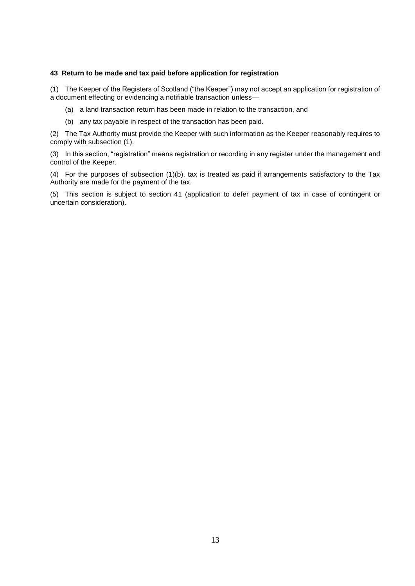#### **43 Return to be made and tax paid before application for registration**

(1) The Keeper of the Registers of Scotland ("the Keeper") may not accept an application for registration of a document effecting or evidencing a notifiable transaction unless—

- (a) a land transaction return has been made in relation to the transaction, and
- (b) any tax payable in respect of the transaction has been paid.

(2) The Tax Authority must provide the Keeper with such information as the Keeper reasonably requires to comply with subsection (1).

(3) In this section, "registration" means registration or recording in any register under the management and control of the Keeper.

(4) For the purposes of subsection (1)(b), tax is treated as paid if arrangements satisfactory to the Tax Authority are made for the payment of the tax.

(5) This section is subject to section 41 (application to defer payment of tax in case of contingent or uncertain consideration).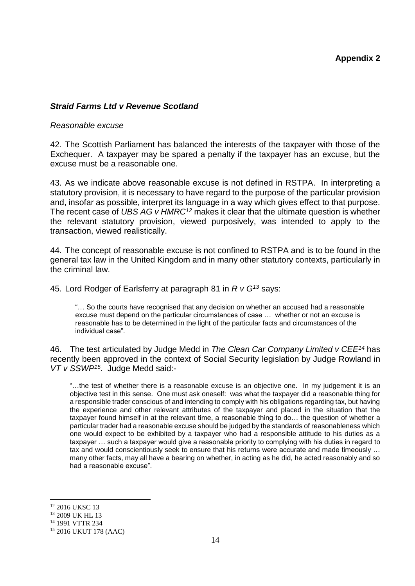### *Straid Farms Ltd v Revenue Scotland*

#### *Reasonable excuse*

42. The Scottish Parliament has balanced the interests of the taxpayer with those of the Exchequer. A taxpayer may be spared a penalty if the taxpayer has an excuse, but the excuse must be a reasonable one.

43. As we indicate above reasonable excuse is not defined in RSTPA. In interpreting a statutory provision, it is necessary to have regard to the purpose of the particular provision and, insofar as possible, interpret its language in a way which gives effect to that purpose. The recent case of *UBS AG v HMRC<sup>12</sup>* makes it clear that the ultimate question is whether the relevant statutory provision, viewed purposively, was intended to apply to the transaction, viewed realistically.

44. The concept of reasonable excuse is not confined to RSTPA and is to be found in the general tax law in the United Kingdom and in many other statutory contexts, particularly in the criminal law.

45. Lord Rodger of Earlsferry at paragraph 81 in *R v G<sup>13</sup>* says:

"… So the courts have recognised that any decision on whether an accused had a reasonable excuse must depend on the particular circumstances of case … whether or not an excuse is reasonable has to be determined in the light of the particular facts and circumstances of the individual case".

46. The test articulated by Judge Medd in *The Clean Car Company Limited v CEE<sup>14</sup>* has recently been approved in the context of Social Security legislation by Judge Rowland in *VT v SSWP<sup>15</sup>*. Judge Medd said:-

"…the test of whether there is a reasonable excuse is an objective one. In my judgement it is an objective test in this sense. One must ask oneself: was what the taxpayer did a reasonable thing for a responsible trader conscious of and intending to comply with his obligations regarding tax, but having the experience and other relevant attributes of the taxpayer and placed in the situation that the taxpayer found himself in at the relevant time, a reasonable thing to do… the question of whether a particular trader had a reasonable excuse should be judged by the standards of reasonableness which one would expect to be exhibited by a taxpayer who had a responsible attitude to his duties as a taxpayer … such a taxpayer would give a reasonable priority to complying with his duties in regard to tax and would conscientiously seek to ensure that his returns were accurate and made timeously … many other facts, may all have a bearing on whether, in acting as he did, he acted reasonably and so had a reasonable excuse".

<sup>&</sup>lt;sup>12</sup> 2016 UKSC 13

<sup>13</sup> 2009 UK HL 13

<sup>14</sup> 1991 VTTR 234

<sup>15</sup> 2016 UKUT 178 (AAC)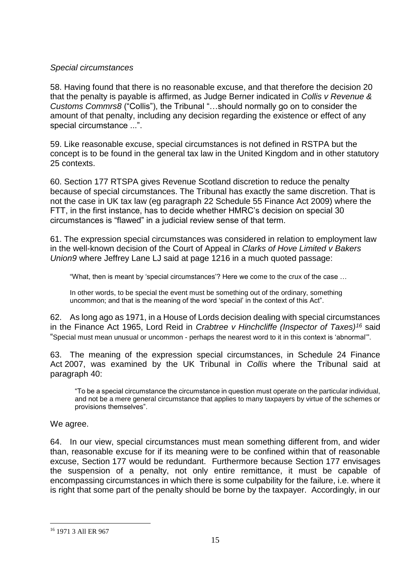### *Special circumstances*

58. Having found that there is no reasonable excuse, and that therefore the decision 20 that the penalty is payable is affirmed, as Judge Berner indicated in *Collis v Revenue & Customs Commrs8* ("Collis"), the Tribunal "…should normally go on to consider the amount of that penalty, including any decision regarding the existence or effect of any special circumstance ...".

59. Like reasonable excuse, special circumstances is not defined in RSTPA but the concept is to be found in the general tax law in the United Kingdom and in other statutory 25 contexts.

60. Section 177 RTSPA gives Revenue Scotland discretion to reduce the penalty because of special circumstances. The Tribunal has exactly the same discretion. That is not the case in UK tax law (eg paragraph 22 Schedule 55 Finance Act 2009) where the FTT, in the first instance, has to decide whether HMRC's decision on special 30 circumstances is "flawed" in a judicial review sense of that term.

61. The expression special circumstances was considered in relation to employment law in the well-known decision of the Court of Appeal in *Clarks of Hove Limited v Bakers Union9* where Jeffrey Lane LJ said at page 1216 in a much quoted passage:

"What, then is meant by 'special circumstances'? Here we come to the crux of the case …

In other words, to be special the event must be something out of the ordinary, something uncommon; and that is the meaning of the word 'special' in the context of this Act".

62. As long ago as 1971, in a House of Lords decision dealing with special circumstances in the Finance Act 1965, Lord Reid in *Crabtree v Hinchcliffe (Inspector of Taxes)<sup>16</sup>* said "Special must mean unusual or uncommon - perhaps the nearest word to it in this context is 'abnormal'".

63. The meaning of the expression special circumstances, in Schedule 24 Finance Act 2007, was examined by the UK Tribunal in *Collis* where the Tribunal said at paragraph 40:

"To be a special circumstance the circumstance in question must operate on the particular individual, and not be a mere general circumstance that applies to many taxpayers by virtue of the schemes or provisions themselves".

We agree.

64. In our view, special circumstances must mean something different from, and wider than, reasonable excuse for if its meaning were to be confined within that of reasonable excuse, Section 177 would be redundant. Furthermore because Section 177 envisages the suspension of a penalty, not only entire remittance, it must be capable of encompassing circumstances in which there is some culpability for the failure, i.e. where it is right that some part of the penalty should be borne by the taxpayer. Accordingly, in our

<sup>&</sup>lt;u>.</u> <sup>16</sup> 1971 3 All ER 967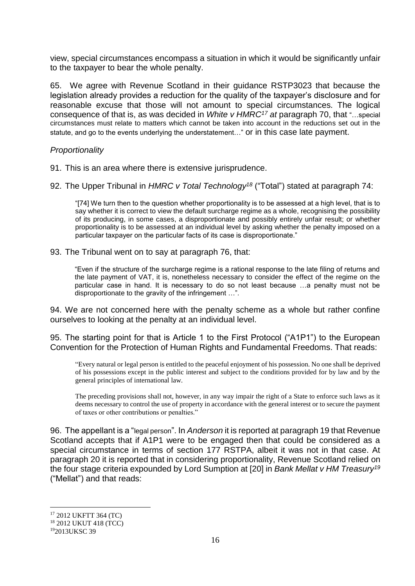view, special circumstances encompass a situation in which it would be significantly unfair to the taxpayer to bear the whole penalty.

65. We agree with Revenue Scotland in their guidance RSTP3023 that because the legislation already provides a reduction for the quality of the taxpayer's disclosure and for reasonable excuse that those will not amount to special circumstances. The logical consequence of that is, as was decided in *White v HMRC<sup>17</sup> at* paragraph 70, that "…special circumstances must relate to matters which cannot be taken into account in the reductions set out in the statute, and go to the events underlying the understatement…" or in this case late payment.

### *Proportionality*

91. This is an area where there is extensive jurisprudence.

92. The Upper Tribunal in *HMRC v Total Technology<sup>18</sup>* ("Total") stated at paragraph 74:

"[74] We turn then to the question whether proportionality is to be assessed at a high level, that is to say whether it is correct to view the default surcharge regime as a whole, recognising the possibility of its producing, in some cases, a disproportionate and possibly entirely unfair result; or whether proportionality is to be assessed at an individual level by asking whether the penalty imposed on a particular taxpayer on the particular facts of its case is disproportionate."

93. The Tribunal went on to say at paragraph 76, that:

"Even if the structure of the surcharge regime is a rational response to the late filing of returns and the late payment of VAT, it is, nonetheless necessary to consider the effect of the regime on the particular case in hand. It is necessary to do so not least because …a penalty must not be disproportionate to the gravity of the infringement …".

94. We are not concerned here with the penalty scheme as a whole but rather confine ourselves to looking at the penalty at an individual level.

95. The starting point for that is Article 1 to the First Protocol ("A1P1") to the European Convention for the Protection of Human Rights and Fundamental Freedoms. That reads:

"Every natural or legal person is entitled to the peaceful enjoyment of his possession. No one shall be deprived of his possessions except in the public interest and subject to the conditions provided for by law and by the general principles of international law.

The preceding provisions shall not, however, in any way impair the right of a State to enforce such laws as it deems necessary to control the use of property in accordance with the general interest or to secure the payment of taxes or other contributions or penalties."

96. The appellant is a "legal person". In *Anderson* it is reported at paragraph 19 that Revenue Scotland accepts that if A1P1 were to be engaged then that could be considered as a special circumstance in terms of section 177 RSTPA, albeit it was not in that case. At paragraph 20 it is reported that in considering proportionality, Revenue Scotland relied on the four stage criteria expounded by Lord Sumption at [20] in *Bank Mellat v HM Treasury<sup>19</sup>* ("Mellat") and that reads:

<sup>17</sup> 2012 UKFTT 364 (TC)

<sup>18</sup> 2012 UKUT 418 (TCC)

<sup>19</sup>2013UKSC 39